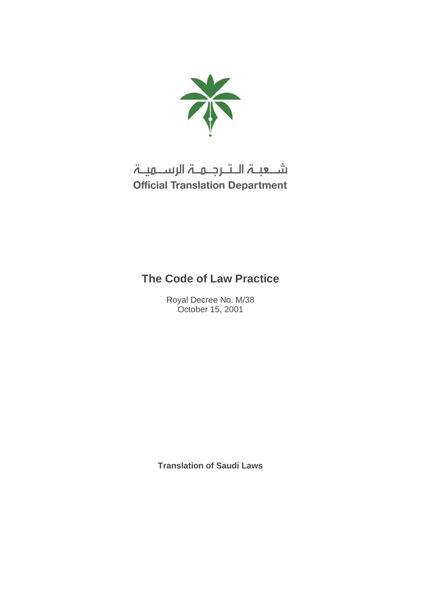

# شـعبـۃ الـتـرجـمـۃ الرســمیـۃ **Official Translation Department**

# **The Code of Law Practice**

Royal Decree No. M/38 October 15, 2001

**Translation of Saudi Laws**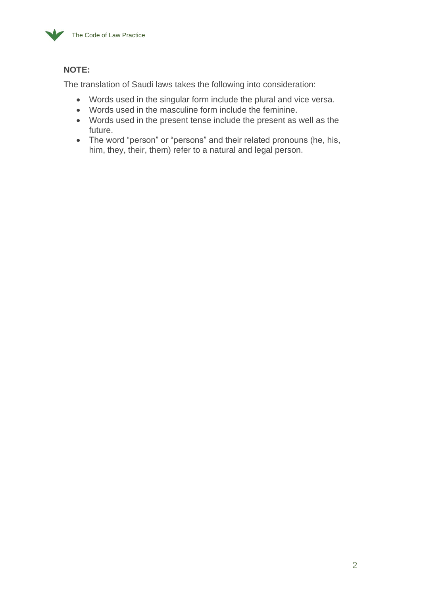

# **NOTE:**

The translation of Saudi laws takes the following into consideration:

- Words used in the singular form include the plural and vice versa.
- Words used in the masculine form include the feminine.
- Words used in the present tense include the present as well as the future.
- The word "person" or "persons" and their related pronouns (he, his, him, they, their, them) refer to a natural and legal person.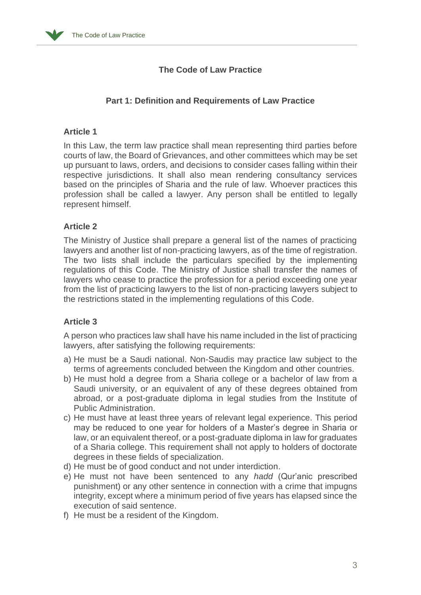

# **The Code of Law Practice**

## **Part 1: Definition and Requirements of Law Practice**

## **Article 1**

In this Law, the term law practice shall mean representing third parties before courts of law, the Board of Grievances, and other committees which may be set up pursuant to laws, orders, and decisions to consider cases falling within their respective jurisdictions. It shall also mean rendering consultancy services based on the principles of Sharia and the rule of law. Whoever practices this profession shall be called a lawyer. Any person shall be entitled to legally represent himself.

## **Article 2**

The Ministry of Justice shall prepare a general list of the names of practicing lawyers and another list of non-practicing lawyers, as of the time of registration. The two lists shall include the particulars specified by the implementing regulations of this Code. The Ministry of Justice shall transfer the names of lawyers who cease to practice the profession for a period exceeding one year from the list of practicing lawyers to the list of non-practicing lawyers subject to the restrictions stated in the implementing regulations of this Code.

# **Article 3**

A person who practices law shall have his name included in the list of practicing lawyers, after satisfying the following requirements:

- a) He must be a Saudi national. Non-Saudis may practice law subject to the terms of agreements concluded between the Kingdom and other countries.
- b) He must hold a degree from a Sharia college or a bachelor of law from a Saudi university, or an equivalent of any of these degrees obtained from abroad, or a post-graduate diploma in legal studies from the Institute of Public Administration.
- c) He must have at least three years of relevant legal experience. This period may be reduced to one year for holders of a Master's degree in Sharia or law, or an equivalent thereof, or a post-graduate diploma in law for graduates of a Sharia college. This requirement shall not apply to holders of doctorate degrees in these fields of specialization.
- d) He must be of good conduct and not under interdiction.
- e) He must not have been sentenced to any *hadd* (Qur'anic prescribed punishment) or any other sentence in connection with a crime that impugns integrity, except where a minimum period of five years has elapsed since the execution of said sentence.
- f) He must be a resident of the Kingdom.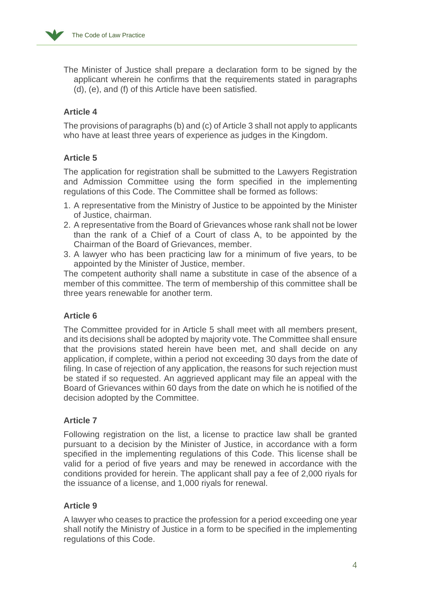The Minister of Justice shall prepare a declaration form to be signed by the applicant wherein he confirms that the requirements stated in paragraphs (d), (e), and (f) of this Article have been satisfied.

## **Article 4**

The provisions of paragraphs (b) and (c) of Article 3 shall not apply to applicants who have at least three years of experience as judges in the Kingdom.

## **Article 5**

The application for registration shall be submitted to the Lawyers Registration and Admission Committee using the form specified in the implementing regulations of this Code. The Committee shall be formed as follows:

- 1. A representative from the Ministry of Justice to be appointed by the Minister of Justice, chairman.
- 2. A representative from the Board of Grievances whose rank shall not be lower than the rank of a Chief of a Court of class A, to be appointed by the Chairman of the Board of Grievances, member.
- 3. A lawyer who has been practicing law for a minimum of five years, to be appointed by the Minister of Justice, member.

The competent authority shall name a substitute in case of the absence of a member of this committee. The term of membership of this committee shall be three years renewable for another term.

# **Article 6**

The Committee provided for in Article 5 shall meet with all members present, and its decisions shall be adopted by majority vote. The Committee shall ensure that the provisions stated herein have been met, and shall decide on any application, if complete, within a period not exceeding 30 days from the date of filing. In case of rejection of any application, the reasons for such rejection must be stated if so requested. An aggrieved applicant may file an appeal with the Board of Grievances within 60 days from the date on which he is notified of the decision adopted by the Committee.

## **Article 7**

Following registration on the list, a license to practice law shall be granted pursuant to a decision by the Minister of Justice, in accordance with a form specified in the implementing regulations of this Code. This license shall be valid for a period of five years and may be renewed in accordance with the conditions provided for herein. The applicant shall pay a fee of 2,000 riyals for the issuance of a license, and 1,000 riyals for renewal.

## **Article 9**

A lawyer who ceases to practice the profession for a period exceeding one year shall notify the Ministry of Justice in a form to be specified in the implementing regulations of this Code.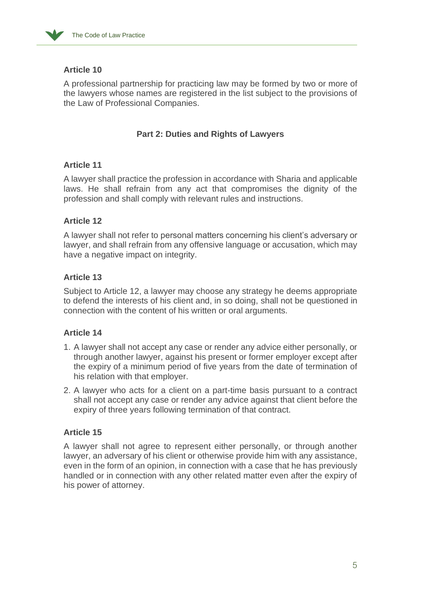

A professional partnership for practicing law may be formed by two or more of the lawyers whose names are registered in the list subject to the provisions of the Law of Professional Companies.

## **Part 2: Duties and Rights of Lawyers**

## **Article 11**

A lawyer shall practice the profession in accordance with Sharia and applicable laws. He shall refrain from any act that compromises the dignity of the profession and shall comply with relevant rules and instructions.

# **Article 12**

A lawyer shall not refer to personal matters concerning his client's adversary or lawyer, and shall refrain from any offensive language or accusation, which may have a negative impact on integrity.

## **Article 13**

Subject to Article 12, a lawyer may choose any strategy he deems appropriate to defend the interests of his client and, in so doing, shall not be questioned in connection with the content of his written or oral arguments.

# **Article 14**

- 1. A lawyer shall not accept any case or render any advice either personally, or through another lawyer, against his present or former employer except after the expiry of a minimum period of five years from the date of termination of his relation with that employer.
- 2. A lawyer who acts for a client on a part-time basis pursuant to a contract shall not accept any case or render any advice against that client before the expiry of three years following termination of that contract.

# **Article 15**

A lawyer shall not agree to represent either personally, or through another lawyer, an adversary of his client or otherwise provide him with any assistance, even in the form of an opinion, in connection with a case that he has previously handled or in connection with any other related matter even after the expiry of his power of attorney.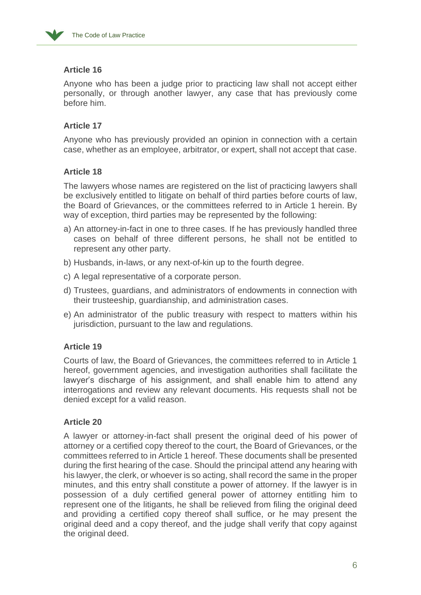

Anyone who has been a judge prior to practicing law shall not accept either personally, or through another lawyer, any case that has previously come before him.

## **Article 17**

Anyone who has previously provided an opinion in connection with a certain case, whether as an employee, arbitrator, or expert, shall not accept that case.

## **Article 18**

The lawyers whose names are registered on the list of practicing lawyers shall be exclusively entitled to litigate on behalf of third parties before courts of law, the Board of Grievances, or the committees referred to in Article 1 herein. By way of exception, third parties may be represented by the following:

- a) An attorney-in-fact in one to three cases. If he has previously handled three cases on behalf of three different persons, he shall not be entitled to represent any other party.
- b) Husbands, in-laws, or any next-of-kin up to the fourth degree.
- c) A legal representative of a corporate person.
- d) Trustees, guardians, and administrators of endowments in connection with their trusteeship, guardianship, and administration cases.
- e) An administrator of the public treasury with respect to matters within his jurisdiction, pursuant to the law and regulations.

## **Article 19**

Courts of law, the Board of Grievances, the committees referred to in Article 1 hereof, government agencies, and investigation authorities shall facilitate the lawyer's discharge of his assignment, and shall enable him to attend any interrogations and review any relevant documents. His requests shall not be denied except for a valid reason.

## **Article 20**

A lawyer or attorney-in-fact shall present the original deed of his power of attorney or a certified copy thereof to the court, the Board of Grievances, or the committees referred to in Article 1 hereof. These documents shall be presented during the first hearing of the case. Should the principal attend any hearing with his lawyer, the clerk, or whoever is so acting, shall record the same in the proper minutes, and this entry shall constitute a power of attorney. If the lawyer is in possession of a duly certified general power of attorney entitling him to represent one of the litigants, he shall be relieved from filing the original deed and providing a certified copy thereof shall suffice, or he may present the original deed and a copy thereof, and the judge shall verify that copy against the original deed.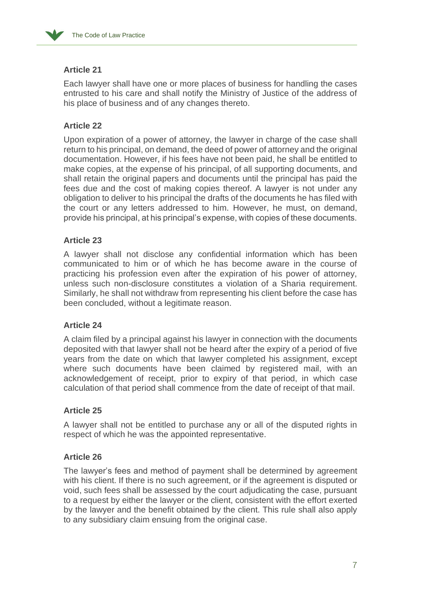

Each lawyer shall have one or more places of business for handling the cases entrusted to his care and shall notify the Ministry of Justice of the address of his place of business and of any changes thereto.

## **Article 22**

Upon expiration of a power of attorney, the lawyer in charge of the case shall return to his principal, on demand, the deed of power of attorney and the original documentation. However, if his fees have not been paid, he shall be entitled to make copies, at the expense of his principal, of all supporting documents, and shall retain the original papers and documents until the principal has paid the fees due and the cost of making copies thereof. A lawyer is not under any obligation to deliver to his principal the drafts of the documents he has filed with the court or any letters addressed to him. However, he must, on demand, provide his principal, at his principal's expense, with copies of these documents.

## **Article 23**

A lawyer shall not disclose any confidential information which has been communicated to him or of which he has become aware in the course of practicing his profession even after the expiration of his power of attorney, unless such non-disclosure constitutes a violation of a Sharia requirement. Similarly, he shall not withdraw from representing his client before the case has been concluded, without a legitimate reason.

## **Article 24**

A claim filed by a principal against his lawyer in connection with the documents deposited with that lawyer shall not be heard after the expiry of a period of five years from the date on which that lawyer completed his assignment, except where such documents have been claimed by registered mail, with an acknowledgement of receipt, prior to expiry of that period, in which case calculation of that period shall commence from the date of receipt of that mail.

## **Article 25**

A lawyer shall not be entitled to purchase any or all of the disputed rights in respect of which he was the appointed representative.

## **Article 26**

The lawyer's fees and method of payment shall be determined by agreement with his client. If there is no such agreement, or if the agreement is disputed or void, such fees shall be assessed by the court adjudicating the case, pursuant to a request by either the lawyer or the client, consistent with the effort exerted by the lawyer and the benefit obtained by the client. This rule shall also apply to any subsidiary claim ensuing from the original case.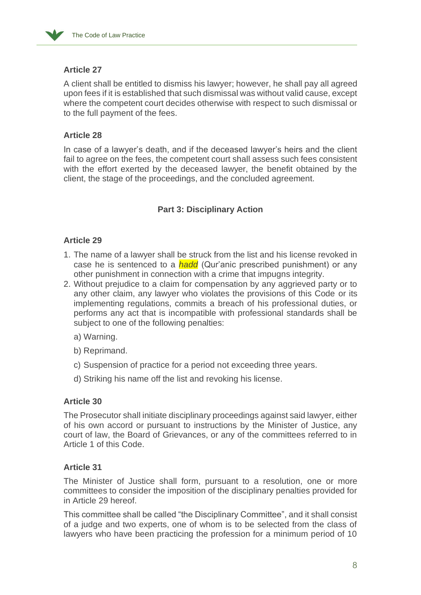

A client shall be entitled to dismiss his lawyer; however, he shall pay all agreed upon fees if it is established that such dismissal was without valid cause, except where the competent court decides otherwise with respect to such dismissal or to the full payment of the fees.

# **Article 28**

In case of a lawyer's death, and if the deceased lawyer's heirs and the client fail to agree on the fees, the competent court shall assess such fees consistent with the effort exerted by the deceased lawyer, the benefit obtained by the client, the stage of the proceedings, and the concluded agreement.

# **Part 3: Disciplinary Action**

## **Article 29**

- 1. The name of a lawyer shall be struck from the list and his license revoked in case he is sentenced to a *hadd* (Qur'anic prescribed punishment) or any other punishment in connection with a crime that impugns integrity.
- 2. Without prejudice to a claim for compensation by any aggrieved party or to any other claim, any lawyer who violates the provisions of this Code or its implementing regulations, commits a breach of his professional duties, or performs any act that is incompatible with professional standards shall be subject to one of the following penalties:
	- a) Warning.
	- b) Reprimand.
	- c) Suspension of practice for a period not exceeding three years.
	- d) Striking his name off the list and revoking his license.

# **Article 30**

The Prosecutor shall initiate disciplinary proceedings against said lawyer, either of his own accord or pursuant to instructions by the Minister of Justice, any court of law, the Board of Grievances, or any of the committees referred to in Article 1 of this Code.

## **Article 31**

The Minister of Justice shall form, pursuant to a resolution, one or more committees to consider the imposition of the disciplinary penalties provided for in Article 29 hereof.

This committee shall be called "the Disciplinary Committee", and it shall consist of a judge and two experts, one of whom is to be selected from the class of lawyers who have been practicing the profession for a minimum period of 10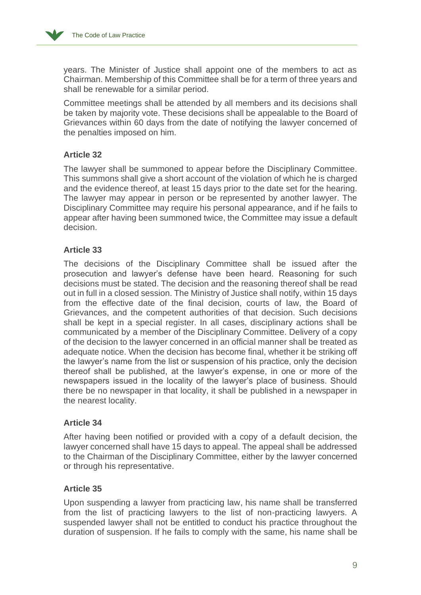

years. The Minister of Justice shall appoint one of the members to act as Chairman. Membership of this Committee shall be for a term of three years and shall be renewable for a similar period.

Committee meetings shall be attended by all members and its decisions shall be taken by majority vote. These decisions shall be appealable to the Board of Grievances within 60 days from the date of notifying the lawyer concerned of the penalties imposed on him.

## **Article 32**

The lawyer shall be summoned to appear before the Disciplinary Committee. This summons shall give a short account of the violation of which he is charged and the evidence thereof, at least 15 days prior to the date set for the hearing. The lawyer may appear in person or be represented by another lawyer. The Disciplinary Committee may require his personal appearance, and if he fails to appear after having been summoned twice, the Committee may issue a default decision.

## **Article 33**

The decisions of the Disciplinary Committee shall be issued after the prosecution and lawyer's defense have been heard. Reasoning for such decisions must be stated. The decision and the reasoning thereof shall be read out in full in a closed session. The Ministry of Justice shall notify, within 15 days from the effective date of the final decision, courts of law, the Board of Grievances, and the competent authorities of that decision. Such decisions shall be kept in a special register. In all cases, disciplinary actions shall be communicated by a member of the Disciplinary Committee. Delivery of a copy of the decision to the lawyer concerned in an official manner shall be treated as adequate notice. When the decision has become final, whether it be striking off the lawyer's name from the list or suspension of his practice, only the decision thereof shall be published, at the lawyer's expense, in one or more of the newspapers issued in the locality of the lawyer's place of business. Should there be no newspaper in that locality, it shall be published in a newspaper in the nearest locality.

## **Article 34**

After having been notified or provided with a copy of a default decision, the lawyer concerned shall have 15 days to appeal. The appeal shall be addressed to the Chairman of the Disciplinary Committee, either by the lawyer concerned or through his representative.

## **Article 35**

Upon suspending a lawyer from practicing law, his name shall be transferred from the list of practicing lawyers to the list of non-practicing lawyers. A suspended lawyer shall not be entitled to conduct his practice throughout the duration of suspension. If he fails to comply with the same, his name shall be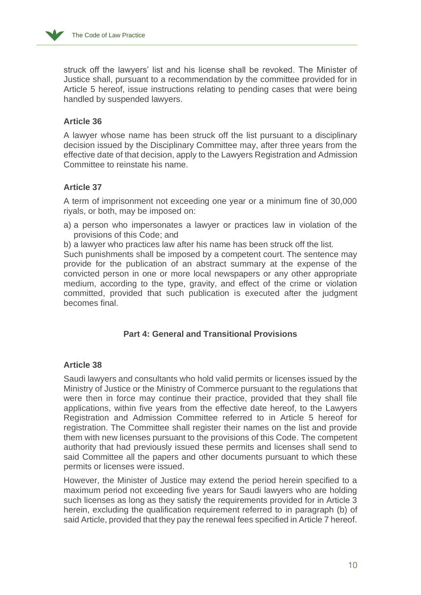

struck off the lawyers' list and his license shall be revoked. The Minister of Justice shall, pursuant to a recommendation by the committee provided for in Article 5 hereof, issue instructions relating to pending cases that were being handled by suspended lawyers.

## **Article 36**

A lawyer whose name has been struck off the list pursuant to a disciplinary decision issued by the Disciplinary Committee may, after three years from the effective date of that decision, apply to the Lawyers Registration and Admission Committee to reinstate his name.

## **Article 37**

A term of imprisonment not exceeding one year or a minimum fine of 30,000 riyals, or both, may be imposed on:

a) a person who impersonates a lawyer or practices law in violation of the provisions of this Code; and

b) a lawyer who practices law after his name has been struck off the list.

Such punishments shall be imposed by a competent court. The sentence may provide for the publication of an abstract summary at the expense of the convicted person in one or more local newspapers or any other appropriate medium, according to the type, gravity, and effect of the crime or violation committed, provided that such publication is executed after the judgment becomes final.

## **Part 4: General and Transitional Provisions**

## **Article 38**

Saudi lawyers and consultants who hold valid permits or licenses issued by the Ministry of Justice or the Ministry of Commerce pursuant to the regulations that were then in force may continue their practice, provided that they shall file applications, within five years from the effective date hereof, to the Lawyers Registration and Admission Committee referred to in Article 5 hereof for registration. The Committee shall register their names on the list and provide them with new licenses pursuant to the provisions of this Code. The competent authority that had previously issued these permits and licenses shall send to said Committee all the papers and other documents pursuant to which these permits or licenses were issued.

However, the Minister of Justice may extend the period herein specified to a maximum period not exceeding five years for Saudi lawyers who are holding such licenses as long as they satisfy the requirements provided for in Article 3 herein, excluding the qualification requirement referred to in paragraph (b) of said Article, provided that they pay the renewal fees specified in Article 7 hereof.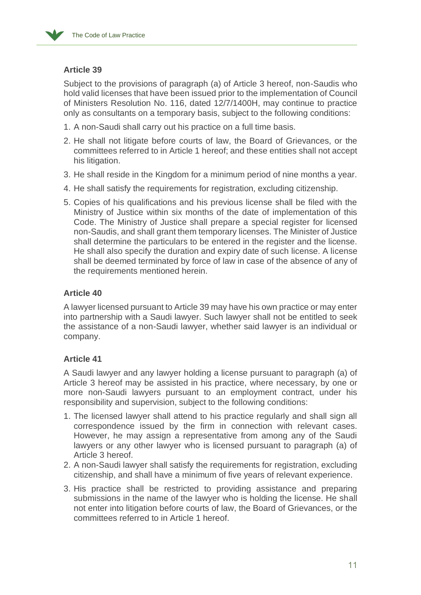Subject to the provisions of paragraph (a) of Article 3 hereof, non-Saudis who hold valid licenses that have been issued prior to the implementation of Council of Ministers Resolution No. 116, dated 12/7/1400H, may continue to practice only as consultants on a temporary basis, subject to the following conditions:

- 1. A non-Saudi shall carry out his practice on a full time basis.
- 2. He shall not litigate before courts of law, the Board of Grievances, or the committees referred to in Article 1 hereof; and these entities shall not accept his litigation.
- 3. He shall reside in the Kingdom for a minimum period of nine months a year.
- 4. He shall satisfy the requirements for registration, excluding citizenship.
- 5. Copies of his qualifications and his previous license shall be filed with the Ministry of Justice within six months of the date of implementation of this Code. The Ministry of Justice shall prepare a special register for licensed non-Saudis, and shall grant them temporary licenses. The Minister of Justice shall determine the particulars to be entered in the register and the license. He shall also specify the duration and expiry date of such license. A license shall be deemed terminated by force of law in case of the absence of any of the requirements mentioned herein.

## **Article 40**

A lawyer licensed pursuant to Article 39 may have his own practice or may enter into partnership with a Saudi lawyer. Such lawyer shall not be entitled to seek the assistance of a non-Saudi lawyer, whether said lawyer is an individual or company.

## **Article 41**

A Saudi lawyer and any lawyer holding a license pursuant to paragraph (a) of Article 3 hereof may be assisted in his practice, where necessary, by one or more non-Saudi lawyers pursuant to an employment contract, under his responsibility and supervision, subject to the following conditions:

- 1. The licensed lawyer shall attend to his practice regularly and shall sign all correspondence issued by the firm in connection with relevant cases. However, he may assign a representative from among any of the Saudi lawyers or any other lawyer who is licensed pursuant to paragraph (a) of Article 3 hereof.
- 2. A non-Saudi lawyer shall satisfy the requirements for registration, excluding citizenship, and shall have a minimum of five years of relevant experience.
- 3. His practice shall be restricted to providing assistance and preparing submissions in the name of the lawyer who is holding the license. He shall not enter into litigation before courts of law, the Board of Grievances, or the committees referred to in Article 1 hereof.